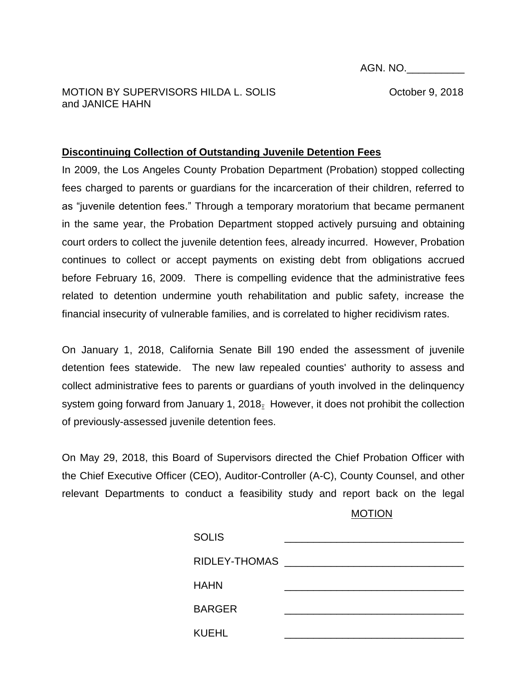AGN. NO.\_\_\_\_\_\_\_\_\_\_

MOTION BY SUPERVISORS HILDA L. SOLIS **SECULIES** Corrected and the October 9, 2018 and JANICE HAHN

## **Discontinuing Collection of Outstanding Juvenile Detention Fees**

In 2009, the Los Angeles County Probation Department (Probation) stopped collecting fees charged to parents or guardians for the incarceration of their children, referred to as "juvenile detention fees." Through a temporary moratorium that became permanent in the same year, the Probation Department stopped actively pursuing and obtaining court orders to collect the juvenile detention fees, already incurred. However, Probation continues to collect or accept payments on existing debt from obligations accrued before February 16, 2009. There is compelling evidence that the administrative fees related to detention undermine youth rehabilitation and public safety, increase the financial insecurity of vulnerable families, and is correlated to higher recidivism rates.

On January 1, 2018, California Senate Bill 190 ended the assessment of juvenile detention fees statewide. The new law repealed counties' authority to assess and collect administrative fees to parents or guardians of youth involved in the delinquency system going forward from January 1, 2018. However, it does not prohibit the collection of previously-assessed juvenile detention fees.

On May 29, 2018, this Board of Supervisors directed the Chief Probation Officer with the Chief Executive Officer (CEO), Auditor-Controller (A-C), County Counsel, and other relevant Departments to conduct a feasibility study and report back on the legal

MOTION

| <b>SOLIS</b>  |  |
|---------------|--|
| RIDLEY-THOMAS |  |
| <b>HAHN</b>   |  |
| <b>BARGER</b> |  |
| <b>KUEHL</b>  |  |
|               |  |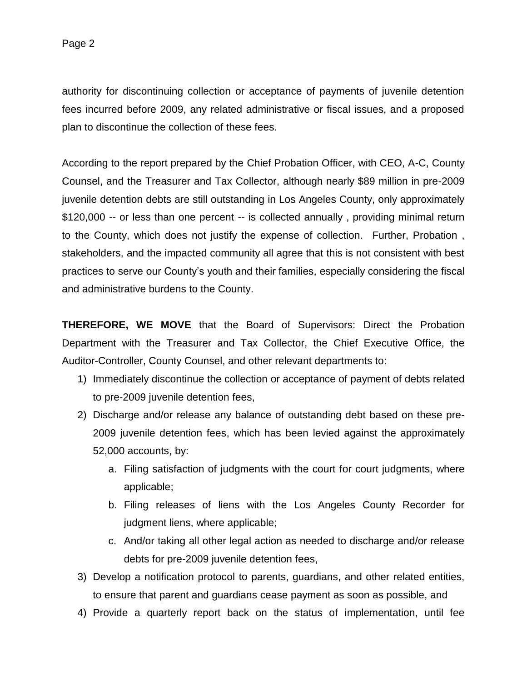authority for discontinuing collection or acceptance of payments of juvenile detention fees incurred before 2009, any related administrative or fiscal issues, and a proposed plan to discontinue the collection of these fees.

According to the report prepared by the Chief Probation Officer, with CEO, A-C, County Counsel, and the Treasurer and Tax Collector, although nearly \$89 million in pre-2009 juvenile detention debts are still outstanding in Los Angeles County, only approximately \$120,000 -- or less than one percent -- is collected annually, providing minimal return to the County, which does not justify the expense of collection. Further, Probation , stakeholders, and the impacted community all agree that this is not consistent with best practices to serve our County's youth and their families, especially considering the fiscal and administrative burdens to the County.

**THEREFORE, WE MOVE** that the Board of Supervisors: Direct the Probation Department with the Treasurer and Tax Collector, the Chief Executive Office, the Auditor-Controller, County Counsel, and other relevant departments to:

- 1) Immediately discontinue the collection or acceptance of payment of debts related to pre-2009 juvenile detention fees,
- 2) Discharge and/or release any balance of outstanding debt based on these pre-2009 juvenile detention fees, which has been levied against the approximately 52,000 accounts, by:
	- a. Filing satisfaction of judgments with the court for court judgments, where applicable;
	- b. Filing releases of liens with the Los Angeles County Recorder for judgment liens, where applicable;
	- c. And/or taking all other legal action as needed to discharge and/or release debts for pre-2009 juvenile detention fees,
- 3) Develop a notification protocol to parents, guardians, and other related entities, to ensure that parent and guardians cease payment as soon as possible, and
- 4) Provide a quarterly report back on the status of implementation, until fee